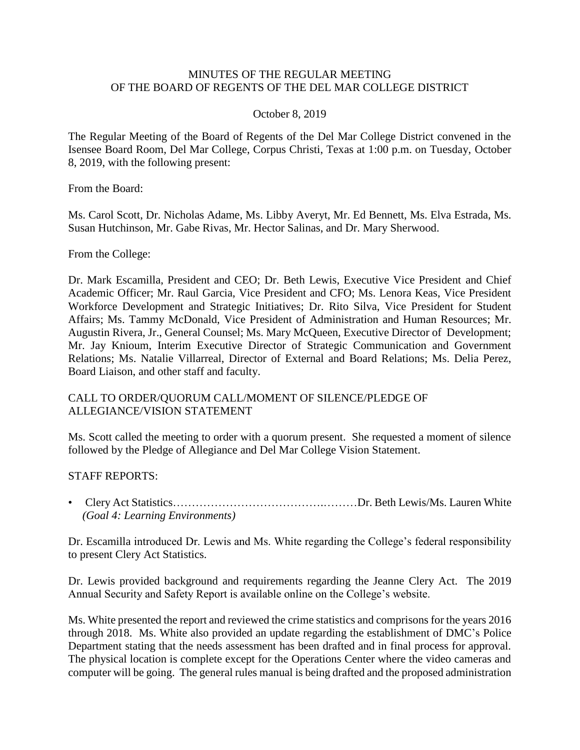### MINUTES OF THE REGULAR MEETING OF THE BOARD OF REGENTS OF THE DEL MAR COLLEGE DISTRICT

#### October 8, 2019

 The Regular Meeting of the Board of Regents of the Del Mar College District convened in the Isensee Board Room, Del Mar College, Corpus Christi, Texas at 1:00 p.m. on Tuesday, October 8, 2019, with the following present:

From the Board:

Ms. Carol Scott, Dr. Nicholas Adame, Ms. Libby Averyt, Mr. Ed Bennett, Ms. Elva Estrada, Ms. Susan Hutchinson, Mr. Gabe Rivas, Mr. Hector Salinas, and Dr. Mary Sherwood.

From the College:

 Dr. Mark Escamilla, President and CEO; Dr. Beth Lewis, Executive Vice President and Chief Academic Officer; Mr. Raul Garcia, Vice President and CFO; Ms. Lenora Keas, Vice President Augustin Rivera, Jr., General Counsel; Ms. Mary McQueen, Executive Director of Development; Relations; Ms. Natalie Villarreal, Director of External and Board Relations; Ms. Delia Perez, Board Liaison, and other staff and faculty. Workforce Development and Strategic Initiatives; Dr. Rito Silva, Vice President for Student Affairs; Ms. Tammy McDonald, Vice President of Administration and Human Resources; Mr. Mr. Jay Knioum, Interim Executive Director of Strategic Communication and Government

## CALL TO ORDER/QUORUM CALL/MOMENT OF SILENCE/PLEDGE OF ALLEGIANCE/VISION STATEMENT

 Ms. Scott called the meeting to order with a quorum present. She requested a moment of silence followed by the Pledge of Allegiance and Del Mar College Vision Statement.

#### STAFF REPORTS:

• Clery Act Statistics………………………………….………Dr. Beth Lewis/Ms. Lauren White *(Goal 4: Learning Environments)* 

 Dr. Escamilla introduced Dr. Lewis and Ms. White regarding the College's federal responsibility to present Clery Act Statistics.

 Dr. Lewis provided background and requirements regarding the Jeanne Clery Act. The 2019 Annual Security and Safety Report is available online on the College's website.

 Department stating that the needs assessment has been drafted and in final process for approval. The physical location is complete except for the Operations Center where the video cameras and computer will be going. The general rules manual is being drafted and the proposed administration Ms. White presented the report and reviewed the crime statistics and comprisons for the years 2016 through 2018. Ms. White also provided an update regarding the establishment of DMC's Police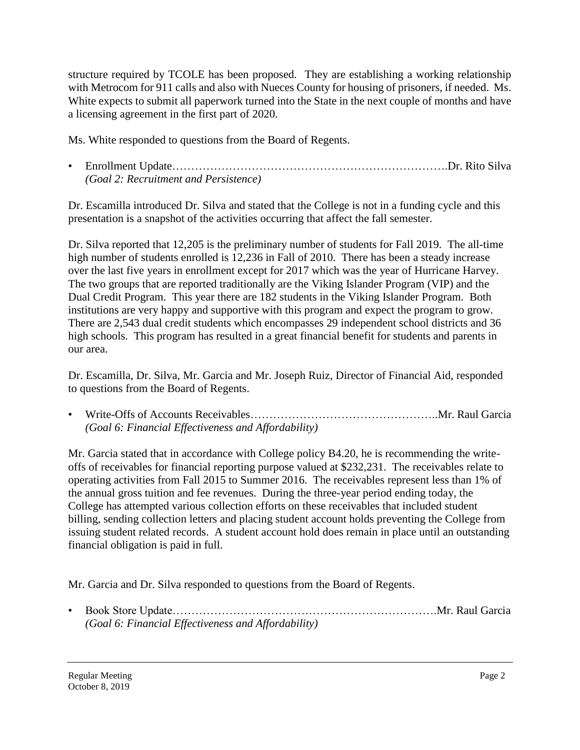structure required by TCOLE has been proposed. They are establishing a working relationship with Metrocom for 911 calls and also with Nueces County for housing of prisoners, if needed. Ms. White expects to submit all paperwork turned into the State in the next couple of months and have a licensing agreement in the first part of 2020.

Ms. White responded to questions from the Board of Regents.

• Enrollment [Update……………………………………………………………….Dr](https://Update������������������������.Dr). Rito Silva *(Goal 2: Recruitment and Persistence)* 

Dr. Escamilla introduced Dr. Silva and stated that the College is not in a funding cycle and this presentation is a snapshot of the activities occurring that affect the fall semester.

Dr. Silva reported that 12,205 is the preliminary number of students for Fall 2019. The all-time high number of students enrolled is 12,236 in Fall of 2010. There has been a steady increase over the last five years in enrollment except for 2017 which was the year of Hurricane Harvey. The two groups that are reported traditionally are the Viking Islander Program (VIP) and the Dual Credit Program. This year there are 182 students in the Viking Islander Program. Both institutions are very happy and supportive with this program and expect the program to grow. There are 2,543 dual credit students which encompasses 29 independent school districts and 36 high schools. This program has resulted in a great financial benefit for students and parents in our area.

Dr. Escamilla, Dr. Silva, Mr. Garcia and Mr. Joseph Ruiz, Director of Financial Aid, responded to questions from the Board of Regents.

• Write-Offs of Accounts [Receivables…………………………………………..Mr](https://Receivables����������������..Mr). Raul Garcia *(Goal 6: Financial Effectiveness and Affordability)* 

 Mr. Garcia stated that in accordance with College policy B4.20, he is recommending the writeoffs of receivables for financial reporting purpose valued at \$232,231. The receivables relate to operating activities from Fall 2015 to Summer 2016. The receivables represent less than 1% of the annual gross tuition and fee revenues. During the three-year period ending today, the College has attempted various collection efforts on these receivables that included student billing, sending collection letters and placing student account holds preventing the College from issuing student related records. A student account hold does remain in place until an outstanding financial obligation is paid in full.

Mr. Garcia and Dr. Silva responded to questions from the Board of Regents.

• Book Store [Update…………………………………………………………….Mr.](https://Update�����������������������.Mr) Raul Garcia *(Goal 6: Financial Effectiveness and Affordability)*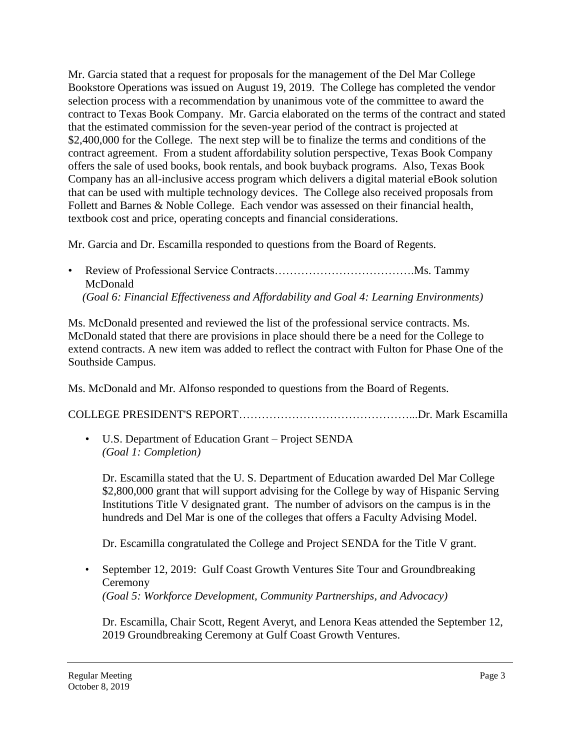that can be used with multiple technology devices. The College also received proposals from Mr. Garcia stated that a request for proposals for the management of the Del Mar College Bookstore Operations was issued on August 19, 2019. The College has completed the vendor selection process with a recommendation by unanimous vote of the committee to award the contract to Texas Book Company. Mr. Garcia elaborated on the terms of the contract and stated that the estimated commission for the seven-year period of the contract is projected at \$2,400,000 for the College. The next step will be to finalize the terms and conditions of the contract agreement. From a student affordability solution perspective, Texas Book Company offers the sale of used books, book rentals, and book buyback programs. Also, Texas Book Company has an all-inclusive access program which delivers a digital material eBook solution Follett and Barnes & Noble College. Each vendor was assessed on their financial health, textbook cost and price, operating concepts and financial considerations.

Mr. Garcia and Dr. Escamilla responded to questions from the Board of Regents.

• Review of Professional Service [Contracts……………………………….Ms](https://Contracts������������.Ms). Tammy McDonald *(Goal 6: Financial Effectiveness and Affordability and Goal 4: Learning Environments)* 

Ms. McDonald presented and reviewed the list of the professional service contracts. Ms. McDonald stated that there are provisions in place should there be a need for the College to extend contracts. A new item was added to reflect the contract with Fulton for Phase One of the Southside Campus.

Ms. McDonald and Mr. Alfonso responded to questions from the Board of Regents.

COLLEGE PRESIDENT'S [REPORT………………………………………...Dr.](https://REPORT���������������...Dr) Mark Escamilla

• U.S. Department of Education Grant – Project SENDA *(Goal 1: Completion)* 

Dr. Escamilla stated that the U. S. Department of Education awarded Del Mar College \$2,800,000 grant that will support advising for the College by way of Hispanic Serving Institutions Title V designated grant. The number of advisors on the campus is in the hundreds and Del Mar is one of the colleges that offers a Faculty Advising Model.

Dr. Escamilla congratulated the College and Project SENDA for the Title V grant.

• September 12, 2019: Gulf Coast Growth Ventures Site Tour and Groundbreaking Ceremony *(Goal 5: Workforce Development, Community Partnerships, and Advocacy)* 

Dr. Escamilla, Chair Scott, Regent Averyt, and Lenora Keas attended the September 12, 2019 Groundbreaking Ceremony at Gulf Coast Growth Ventures.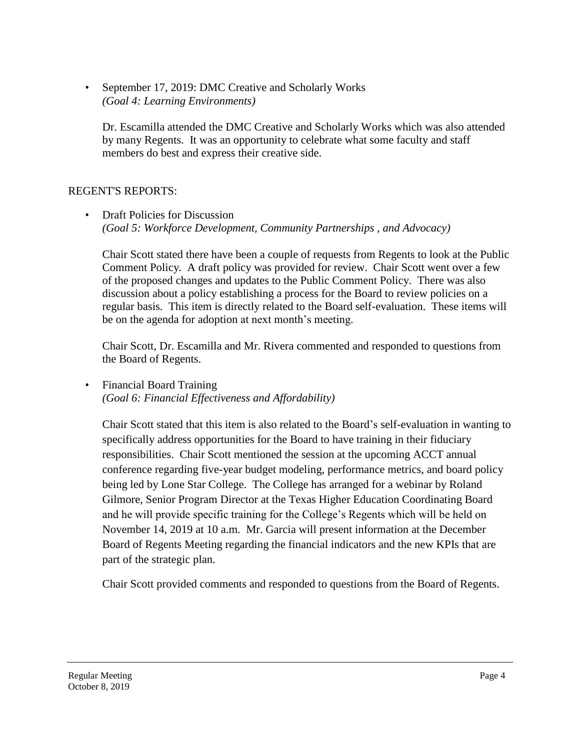September 17, 2019: DMC Creative and Scholarly Works *(Goal 4: Learning Environments)* 

Dr. Escamilla attended the DMC Creative and Scholarly Works which was also attended by many Regents. It was an opportunity to celebrate what some faculty and staff members do best and express their creative side.

# REGENT'S REPORTS:

# • Draft Policies for Discussion *(Goal 5: Workforce Development, Community Partnerships , and Advocacy)*

Chair Scott stated there have been a couple of requests from Regents to look at the Public Comment Policy. A draft policy was provided for review. Chair Scott went over a few of the proposed changes and updates to the Public Comment Policy. There was also discussion about a policy establishing a process for the Board to review policies on a regular basis. This item is directly related to the Board self-evaluation. These items will be on the agenda for adoption at next month's meeting.

Chair Scott, Dr. Escamilla and Mr. Rivera commented and responded to questions from the Board of Regents.

• Financial Board Training *(Goal 6: Financial Effectiveness and Affordability)* 

 being led by Lone Star College. The College has arranged for a webinar by Roland Chair Scott stated that this item is also related to the Board's self-evaluation in wanting to specifically address opportunities for the Board to have training in their fiduciary responsibilities. Chair Scott mentioned the session at the upcoming ACCT annual conference regarding five-year budget modeling, performance metrics, and board policy Gilmore, Senior Program Director at the Texas Higher Education Coordinating Board and he will provide specific training for the College's Regents which will be held on November 14, 2019 at 10 a.m. Mr. Garcia will present information at the December Board of Regents Meeting regarding the financial indicators and the new KPIs that are part of the strategic plan.

Chair Scott provided comments and responded to questions from the Board of Regents.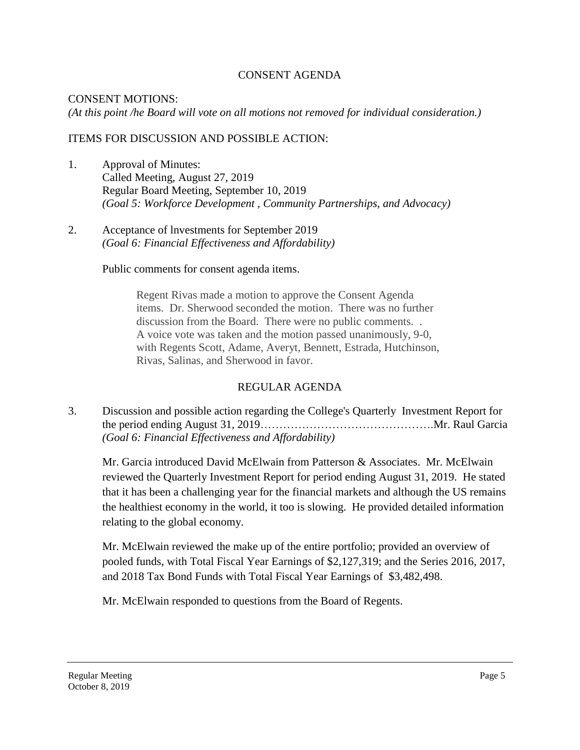# CONSENT AGENDA

#### CONSENT MOTIONS: *(At this point /he Board will vote on all motions not removed for individual consideration.)*

# ITEMS FOR DISCUSSION AND POSSIBLE ACTION:

- 1. Approval of Minutes: Called Meeting, August 27, 2019 Regular Board Meeting, September 10, 2019 *(Goal 5: Workforce Development , Community Partnerships, and Advocacy)*
- 2. Acceptance of lnvestments for September 2019 *(Goal 6: Financial Effectiveness and Affordability)*

Public comments for consent agenda items.

Regent Rivas made a motion to approve the Consent Agenda items. Dr. Sherwood seconded the motion. There was no further discussion from the Board. There were no public comments. . A voice vote was taken and the motion passed unanimously, 9-0, with Regents Scott, Adame, Averyt, Bennett, Estrada, Hutchinson, Rivas, Salinas, and Sherwood in favor.

## REGULAR AGENDA

 3. Discussion and possible action regarding the College's Quarterly Investment Report for the period ending August 31, [2019……………………………………….Mr](https://2019���������������.Mr). Raul Garcia *(Goal 6: Financial Effectiveness and Affordability)* 

Mr. Garcia introduced David McElwain from Patterson & Associates. Mr. McElwain reviewed the Quarterly Investment Report for period ending August 31, 2019. He stated that it has been a challenging year for the financial markets and although the US remains the healthiest economy in the world, it too is slowing. He provided detailed information relating to the global economy.

Mr. McElwain reviewed the make up of the entire portfolio; provided an overview of pooled funds, with Total Fiscal Year Earnings of \$2,127,319; and the Series 2016, 2017, and 2018 Tax Bond Funds with Total Fiscal Year Earnings of \$3,482,498.

Mr. McElwain responded to questions from the Board of Regents.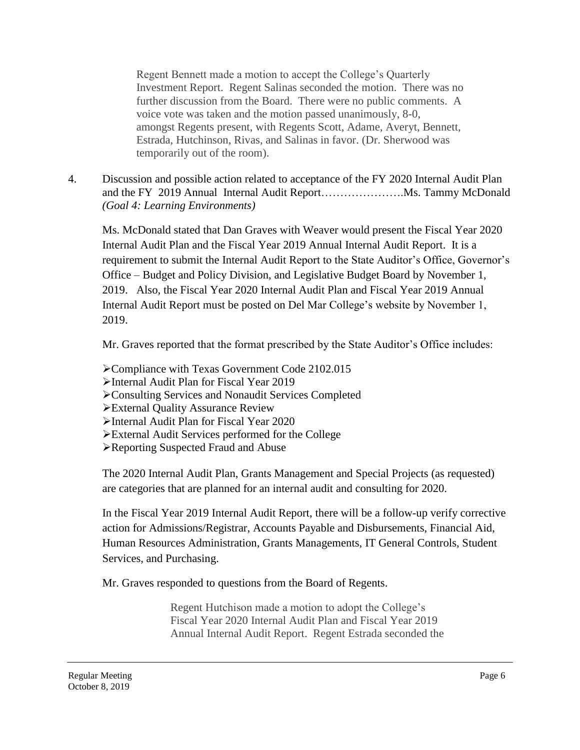Regent Bennett made a motion to accept the College's Quarterly Investment Report. Regent Salinas seconded the motion. There was no further discussion from the Board. There were no public comments. A voice vote was taken and the motion passed unanimously, 8-0, amongst Regents present, with Regents Scott, Adame, Averyt, Bennett, Estrada, Hutchinson, Rivas, and Salinas in favor. (Dr. Sherwood was temporarily out of the room).

 and the FY 2019 Annual Internal Audit [Report………………….Ms](https://Report�������.Ms). Tammy McDonald 4. Discussion and possible action related to acceptance of the FY 2020 Internal Audit Plan *(Goal 4: Learning Environments)* 

Ms. McDonald stated that Dan Graves with Weaver would present the Fiscal Year 2020 Internal Audit Plan and the Fiscal Year 2019 Annual Internal Audit Report. It is a requirement to submit the Internal Audit Report to the State Auditor's Office, Governor's Office – Budget and Policy Division, and Legislative Budget Board by November 1, 2019. Also, the Fiscal Year 2020 Internal Audit Plan and Fiscal Year 2019 Annual Internal Audit Report must be posted on Del Mar College's website by November 1, 2019.

Mr. Graves reported that the format prescribed by the State Auditor's Office includes:

- Compliance with Texas Government Code 2102.015
- Internal Audit Plan for Fiscal Year 2019
- Consulting Services and Nonaudit Services Completed
- External Quality Assurance Review
- Internal Audit Plan for Fiscal Year 2020
- External Audit Services performed for the College
- Reporting Suspected Fraud and Abuse

The 2020 Internal Audit Plan, Grants Management and Special Projects (as requested) are categories that are planned for an internal audit and consulting for 2020.

In the Fiscal Year 2019 Internal Audit Report, there will be a follow-up verify corrective action for Admissions/Registrar, Accounts Payable and Disbursements, Financial Aid, Human Resources Administration, Grants Managements, IT General Controls, Student Services, and Purchasing.

Mr. Graves responded to questions from the Board of Regents.

Regent Hutchison made a motion to adopt the College's Fiscal Year 2020 Internal Audit Plan and Fiscal Year 2019 Annual Internal Audit Report. Regent Estrada seconded the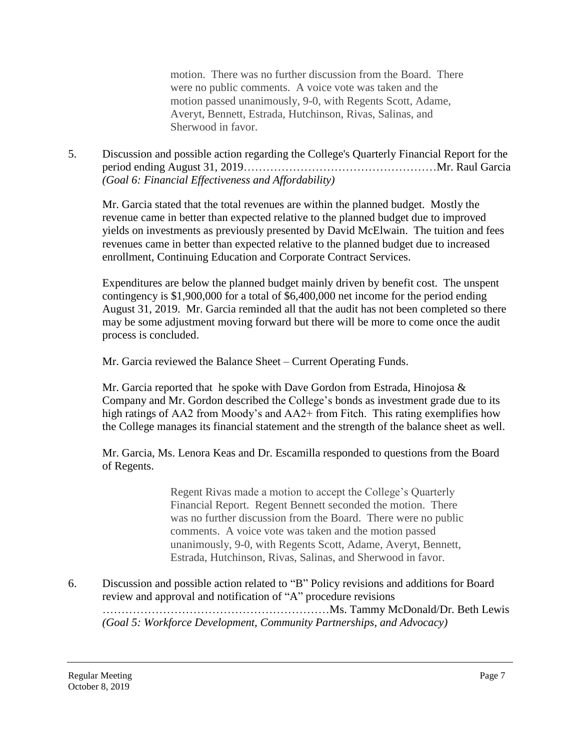motion. There was no further discussion from the Board. There were no public comments. A voice vote was taken and the motion passed unanimously, 9-0, with Regents Scott, Adame, Averyt, Bennett, Estrada, Hutchinson, Rivas, Salinas, and Sherwood in favor.

5. Discussion and possible action regarding the College's Quarterly Financial Report for the period ending August 31, 2019……………………………………………Mr. Raul Garcia *(Goal 6: Financial Effectiveness and Affordability)* 

Mr. Garcia stated that the total revenues are within the planned budget. Mostly the revenue came in better than expected relative to the planned budget due to improved yields on investments as previously presented by David McElwain. The tuition and fees revenues came in better than expected relative to the planned budget due to increased enrollment, Continuing Education and Corporate Contract Services.

Expenditures are below the planned budget mainly driven by benefit cost. The unspent contingency is \$1,900,000 for a total of \$6,400,000 net income for the period ending August 31, 2019. Mr. Garcia reminded all that the audit has not been completed so there may be some adjustment moving forward but there will be more to come once the audit process is concluded.

Mr. Garcia reviewed the Balance Sheet – Current Operating Funds.

Mr. Garcia reported that he spoke with Dave Gordon from Estrada, Hinojosa  $\&$ Company and Mr. Gordon described the College's bonds as investment grade due to its high ratings of AA2 from Moody's and AA2+ from Fitch. This rating exemplifies how the College manages its financial statement and the strength of the balance sheet as well.

Mr. Garcia, Ms. Lenora Keas and Dr. Escamilla responded to questions from the Board of Regents.

> Regent Rivas made a motion to accept the College's Quarterly Financial Report. Regent Bennett seconded the motion. There was no further discussion from the Board. There were no public comments. A voice vote was taken and the motion passed unanimously, 9-0, with Regents Scott, Adame, Averyt, Bennett, Estrada, Hutchinson, Rivas, Salinas, and Sherwood in favor.

6. Discussion and possible action related to "B" Policy revisions and additions for Board review and approval and notification of "A" procedure revisions

……………………………………………………Ms. Tammy McDonald/Dr. Beth Lewis *(Goal 5: Workforce Development, Community Partnerships, and Advocacy)*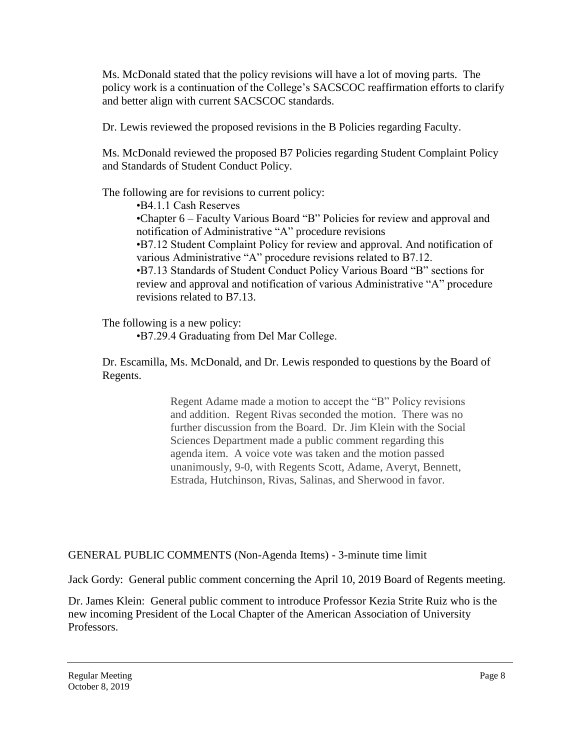Ms. McDonald stated that the policy revisions will have a lot of moving parts. The policy work is a continuation of the College's SACSCOC reaffirmation efforts to clarify and better align with current SACSCOC standards.

Dr. Lewis reviewed the proposed revisions in the B Policies regarding Faculty.

Ms. McDonald reviewed the proposed B7 Policies regarding Student Complaint Policy and Standards of Student Conduct Policy.

The following are for revisions to current policy:

•B4.1.1 Cash Reserves

•Chapter 6 – Faculty Various Board "B" Policies for review and approval and notification of Administrative "A" procedure revisions

•B7.12 Student Complaint Policy for review and approval. And notification of various Administrative "A" procedure revisions related to B7.12.

•B7.13 Standards of Student Conduct Policy Various Board "B" sections for review and approval and notification of various Administrative "A" procedure revisions related to B7.13.

The following is a new policy:

•B7.29.4 Graduating from Del Mar College.

Dr. Escamilla, Ms. McDonald, and Dr. Lewis responded to questions by the Board of Regents.

> Regent Adame made a motion to accept the "B" Policy revisions and addition. Regent Rivas seconded the motion. There was no further discussion from the Board. Dr. Jim Klein with the Social Sciences Department made a public comment regarding this agenda item. A voice vote was taken and the motion passed unanimously, 9-0, with Regents Scott, Adame, Averyt, Bennett, Estrada, Hutchinson, Rivas, Salinas, and Sherwood in favor.

GENERAL PUBLIC COMMENTS (Non-Agenda Items) - 3-minute time limit

Jack Gordy: General public comment concerning the April 10, 2019 Board of Regents meeting.

 Dr. James Klein: General public comment to introduce Professor Kezia Strite Ruiz who is the new incoming President of the Local Chapter of the American Association of University Professors.